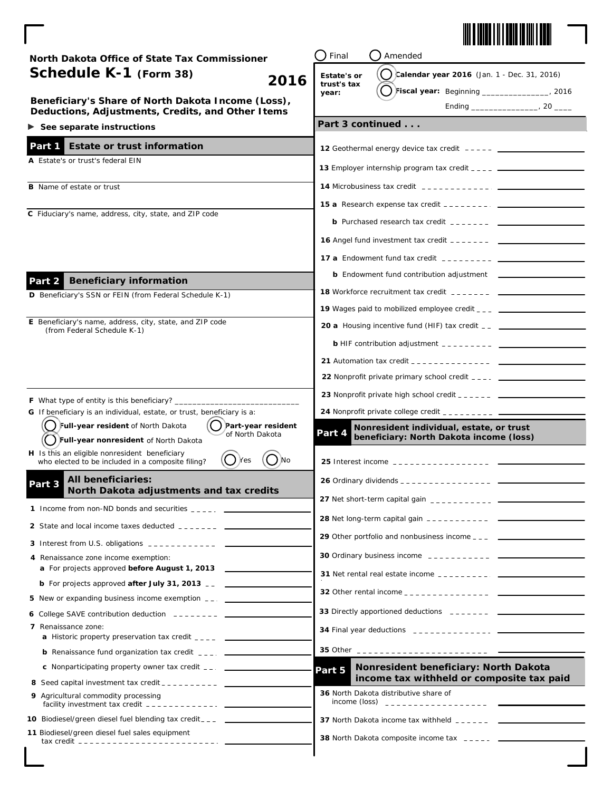

 $\begin{array}{c} \begin{array}{c} \begin{array}{c} \end{array} \end{array} \end{array}$ 

| North Dakota Office of State Tax Commissioner                                                                                                         | Final<br>Amended                                                                                                                                                                                                                                                                                                                               |  |
|-------------------------------------------------------------------------------------------------------------------------------------------------------|------------------------------------------------------------------------------------------------------------------------------------------------------------------------------------------------------------------------------------------------------------------------------------------------------------------------------------------------|--|
| Schedule K-1 (Form 38)<br>2016                                                                                                                        | $\binom{1}{2}$ calendar year 2016 (Jan. 1 - Dec. 31, 2016)<br>Estate's or                                                                                                                                                                                                                                                                      |  |
|                                                                                                                                                       | trust's tax<br>Fiscal year: Beginning ________________, 2016<br>year:                                                                                                                                                                                                                                                                          |  |
| Beneficiary's Share of North Dakota Income (Loss),<br>Deductions, Adjustments, Credits, and Other Items                                               |                                                                                                                                                                                                                                                                                                                                                |  |
| $\triangleright$ See separate instructions                                                                                                            | Part 3 continued                                                                                                                                                                                                                                                                                                                               |  |
| <b>Estate or trust information</b><br>Part 1                                                                                                          |                                                                                                                                                                                                                                                                                                                                                |  |
| A Estate's or trust's federal EIN                                                                                                                     |                                                                                                                                                                                                                                                                                                                                                |  |
|                                                                                                                                                       |                                                                                                                                                                                                                                                                                                                                                |  |
| <b>B</b> Name of estate or trust                                                                                                                      |                                                                                                                                                                                                                                                                                                                                                |  |
|                                                                                                                                                       |                                                                                                                                                                                                                                                                                                                                                |  |
| C Fiduciary's name, address, city, state, and ZIP code                                                                                                | <b>b</b> Purchased research tax credit $\frac{1}{2}$ $\frac{1}{2}$ $\frac{1}{2}$ $\frac{1}{2}$ $\frac{1}{2}$                                                                                                                                                                                                                                   |  |
|                                                                                                                                                       |                                                                                                                                                                                                                                                                                                                                                |  |
|                                                                                                                                                       | <b>17 a</b> Endowment fund tax credit $\frac{1}{2}$ = $\frac{1}{2}$ = $\frac{1}{2}$ = $\frac{1}{2}$ = $\frac{1}{2}$                                                                                                                                                                                                                            |  |
| <b>Beneficiary information</b><br>Part 2                                                                                                              | <b>b</b> Endowment fund contribution adjustment ____________________                                                                                                                                                                                                                                                                           |  |
| D Beneficiary's SSN or FEIN (from Federal Schedule K-1)                                                                                               |                                                                                                                                                                                                                                                                                                                                                |  |
|                                                                                                                                                       |                                                                                                                                                                                                                                                                                                                                                |  |
| E Beneficiary's name, address, city, state, and ZIP code<br>(from Federal Schedule K-1)                                                               | <b>20 a</b> Housing incentive fund (HIF) tax credit __ _______________________________                                                                                                                                                                                                                                                         |  |
|                                                                                                                                                       | <b>b</b> HIF contribution adjustment $\frac{1}{2}$ = $\frac{1}{2}$ = $\frac{1}{2}$ = $\frac{1}{2}$ = $\frac{1}{2}$ = $\frac{1}{2}$ = $\frac{1}{2}$ = $\frac{1}{2}$ = $\frac{1}{2}$ = $\frac{1}{2}$ = $\frac{1}{2}$ = $\frac{1}{2}$ = $\frac{1}{2}$ = $\frac{1}{2}$ = $\frac{1}{2}$ = $\frac{1}{2}$                                             |  |
|                                                                                                                                                       |                                                                                                                                                                                                                                                                                                                                                |  |
|                                                                                                                                                       |                                                                                                                                                                                                                                                                                                                                                |  |
|                                                                                                                                                       |                                                                                                                                                                                                                                                                                                                                                |  |
| F What type of entity is this beneficiary? _____<br>G If beneficiary is an individual, estate, or trust, beneficiary is a:                            | 24 Nonprofit private college credit _________ ___                                                                                                                                                                                                                                                                                              |  |
| Part-year resident<br>J Full-year resident of North Dakota                                                                                            | Nonresident individual, estate, or trust                                                                                                                                                                                                                                                                                                       |  |
| of North Dakota<br>Full-year nonresident of North Dakota                                                                                              | Part 4<br>beneficiary: North Dakota income (loss)                                                                                                                                                                                                                                                                                              |  |
| H Is this an eligible nonresident beneficiary<br>- ) No<br>Yes<br>who elected to be included in a composite filing?                                   |                                                                                                                                                                                                                                                                                                                                                |  |
| <b>All beneficiaries:</b>                                                                                                                             |                                                                                                                                                                                                                                                                                                                                                |  |
| Part 3<br>North Dakota adjustments and tax credits                                                                                                    | <b>27</b> Net short-term capital gain $\frac{1}{2}$ $\frac{1}{2}$ $\frac{1}{2}$ $\frac{1}{2}$ $\frac{1}{2}$ $\frac{1}{2}$ $\frac{1}{2}$                                                                                                                                                                                                        |  |
| 1 Income from non-ND bonds and securities $\frac{1}{2}$ $\frac{1}{2}$ $\frac{1}{2}$ $\frac{1}{2}$                                                     |                                                                                                                                                                                                                                                                                                                                                |  |
| 2 State and local income taxes deducted _______ ___                                                                                                   | 28 Net long-term capital gain ___________ ____                                                                                                                                                                                                                                                                                                 |  |
|                                                                                                                                                       |                                                                                                                                                                                                                                                                                                                                                |  |
| 4 Renaissance zone income exemption:<br><b>a</b> For projects approved <b>before August 1, 2013</b>                                                   |                                                                                                                                                                                                                                                                                                                                                |  |
| <b>b</b> For projects approved <i>after July 31, 2013</i> $\overline{\phantom{a}}$                                                                    |                                                                                                                                                                                                                                                                                                                                                |  |
| 5 New or expanding business income exemption __. _________                                                                                            |                                                                                                                                                                                                                                                                                                                                                |  |
| 6 College SAVE contribution deduction $---$                                                                                                           |                                                                                                                                                                                                                                                                                                                                                |  |
| 7 Renaissance zone:                                                                                                                                   |                                                                                                                                                                                                                                                                                                                                                |  |
| <b>a</b> Historic property preservation tax credit ____ _ _________                                                                                   | 35 Other __________________________                                                                                                                                                                                                                                                                                                            |  |
| <b>b</b> Renaissance fund organization tax credit $\frac{1}{2}$ , $\frac{1}{2}$<br><b>c</b> Nonparticipating property owner tax credit ___ __________ | Nonresident beneficiary: North Dakota                                                                                                                                                                                                                                                                                                          |  |
|                                                                                                                                                       | Part 5<br>income tax withheld or composite tax paid                                                                                                                                                                                                                                                                                            |  |
| 9 Agricultural commodity processing                                                                                                                   | 36 North Dakota distributive share of<br>income (loss) $\frac{1}{2}$ = $\frac{1}{2}$ = $\frac{1}{2}$ = $\frac{1}{2}$ = $\frac{1}{2}$ = $\frac{1}{2}$ = $\frac{1}{2}$ = $\frac{1}{2}$ = $\frac{1}{2}$ = $\frac{1}{2}$ = $\frac{1}{2}$ = $\frac{1}{2}$ = $\frac{1}{2}$ = $\frac{1}{2}$ = $\frac{1}{2}$ = $\frac{1}{2}$ = $\frac{1}{2}$ = $\frac$ |  |
| facility investment tax credit $-$ - - - - - - - - - - - $-$                                                                                          |                                                                                                                                                                                                                                                                                                                                                |  |
| 10 Biodiesel/green diesel fuel blending tax credit___ _ ____________<br>11 Biodiesel/green diesel fuel sales equipment                                | 37 North Dakota income tax withheld $2 - 2 - 2 - 2$                                                                                                                                                                                                                                                                                            |  |
|                                                                                                                                                       |                                                                                                                                                                                                                                                                                                                                                |  |

 $\overline{\phantom{a}}$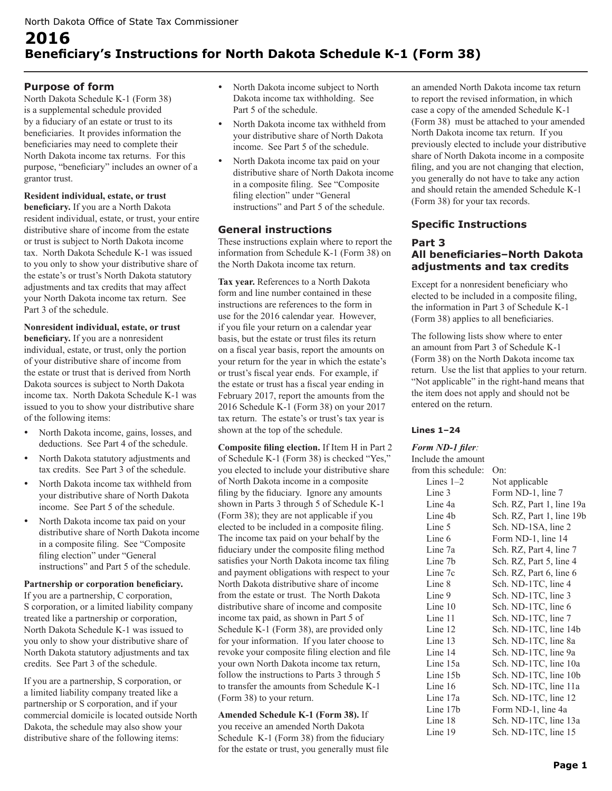# **2016 Beneficiary's Instructions for North Dakota Schedule K-1 (Form 38)**

## **Purpose of form**

North Dakota Schedule K-1 (Form 38) is a supplemental schedule provided by a fiduciary of an estate or trust to its beneficiaries. It provides information the beneficiaries may need to complete their North Dakota income tax returns. For this purpose, "beneficiary" includes an owner of a grantor trust.

## **Resident individual, estate, or trust**

**beneficiary.** If you are a North Dakota resident individual, estate, or trust, your entire distributive share of income from the estate or trust is subject to North Dakota income tax. North Dakota Schedule K-1 was issued to you only to show your distributive share of the estate's or trust's North Dakota statutory adjustments and tax credits that may affect your North Dakota income tax return. See Part 3 of the schedule.

**Nonresident individual, estate, or trust beneficiary.** If you are a nonresident individual, estate, or trust, only the portion of your distributive share of income from the estate or trust that is derived from North Dakota sources is subject to North Dakota income tax. North Dakota Schedule K-1 was issued to you to show your distributive share of the following items:

- North Dakota income, gains, losses, and deductions. See Part 4 of the schedule.
- North Dakota statutory adjustments and tax credits. See Part 3 of the schedule.
- North Dakota income tax withheld from your distributive share of North Dakota income. See Part 5 of the schedule.
- North Dakota income tax paid on your distributive share of North Dakota income in a composite filing. See "Composite filing election" under "General instructions" and Part 5 of the schedule.

#### **Partnership or corporation beneficiary.**

If you are a partnership, C corporation, S corporation, or a limited liability company treated like a partnership or corporation, North Dakota Schedule K-1 was issued to you only to show your distributive share of North Dakota statutory adjustments and tax credits. See Part 3 of the schedule.

If you are a partnership, S corporation, or a limited liability company treated like a partnership or S corporation, and if your commercial domicile is located outside North Dakota, the schedule may also show your distributive share of the following items:

- North Dakota income subject to North Dakota income tax withholding. See Part 5 of the schedule.
- North Dakota income tax withheld from your distributive share of North Dakota income. See Part 5 of the schedule.
- North Dakota income tax paid on your distributive share of North Dakota income in a composite filing. See "Composite filing election" under "General instructions" and Part 5 of the schedule.

## **General instructions**

These instructions explain where to report the information from Schedule K-1 (Form 38) on the North Dakota income tax return.

**Tax year.** References to a North Dakota form and line number contained in these instructions are references to the form in use for the 2016 calendar year. However, if you file your return on a calendar year basis, but the estate or trust files its return on a fiscal year basis, report the amounts on your return for the year in which the estate's or trust's fiscal year ends. For example, if the estate or trust has a fiscal year ending in February 2017, report the amounts from the 2016 Schedule K-1 (Form 38) on your 2017 tax return. The estate's or trust's tax year is shown at the top of the schedule.

**Composite filing election.** If Item H in Part 2 of Schedule K-1 (Form 38) is checked "Yes," you elected to include your distributive share of North Dakota income in a composite filing by the fiduciary. Ignore any amounts shown in Parts 3 through 5 of Schedule K-1 (Form 38); they are not applicable if you elected to be included in a composite filing. The income tax paid on your behalf by the fiduciary under the composite filing method satisfies your North Dakota income tax filing and payment obligations with respect to your North Dakota distributive share of income from the estate or trust. The North Dakota distributive share of income and composite income tax paid, as shown in Part 5 of Schedule K-1 (Form 38), are provided only for your information. If you later choose to revoke your composite filing election and file your own North Dakota income tax return, follow the instructions to Parts 3 through 5 to transfer the amounts from Schedule K-1 (Form 38) to your return.

**Amended Schedule K-1 (Form 38).** If you receive an amended North Dakota Schedule K-1 (Form 38) from the fiduciary for the estate or trust, you generally must file an amended North Dakota income tax return to report the revised information, in which case a copy of the amended Schedule K-1 (Form 38) must be attached to your amended North Dakota income tax return. If you previously elected to include your distributive share of North Dakota income in a composite filing, and you are not changing that election, you generally do not have to take any action and should retain the amended Schedule K-1 (Form 38) for your tax records.

## **Specific Instructions**

## **Part 3 All beneficiaries–North Dakota adjustments and tax credits**

Except for a nonresident beneficiary who elected to be included in a composite filing, the information in Part 3 of Schedule K-1 (Form 38) applies to all beneficiaries.

The following lists show where to enter an amount from Part 3 of Schedule K-1 (Form 38) on the North Dakota income tax return. Use the list that applies to your return. "Not applicable" in the right-hand means that the item does not apply and should not be entered on the return.

### **Lines 1–24**

### *Form ND-1 filer:*

| Form ND-1, line 7         |
|---------------------------|
| Sch. RZ, Part 1, line 19a |
| Sch. RZ, Part 1, line 19b |
| Sch. ND-1SA, line 2       |
| Form ND-1, line 14        |
| Sch. RZ, Part 4, line 7   |
| Sch. RZ, Part 5, line 4   |
| Sch. RZ, Part 6, line 6   |
| Sch. ND-1TC, line 4       |
| Sch. ND-1TC, line 3       |
| Sch. ND-1TC, line 6       |
| Sch. ND-1TC, line 7       |
| Sch. ND-1TC, line 14b     |
| Sch. ND-1TC, line 8a      |
| Sch. ND-1TC, line 9a      |
| Sch. ND-1TC, line 10a     |
| Sch. ND-1TC, line 10b     |
| Sch. ND-1TC, line 11a     |
| Sch. ND-1TC, line 12      |
| Form ND-1, line 4a        |
| Sch. ND-1TC, line 13a     |
| Sch. ND-1TC, line 15      |
|                           |